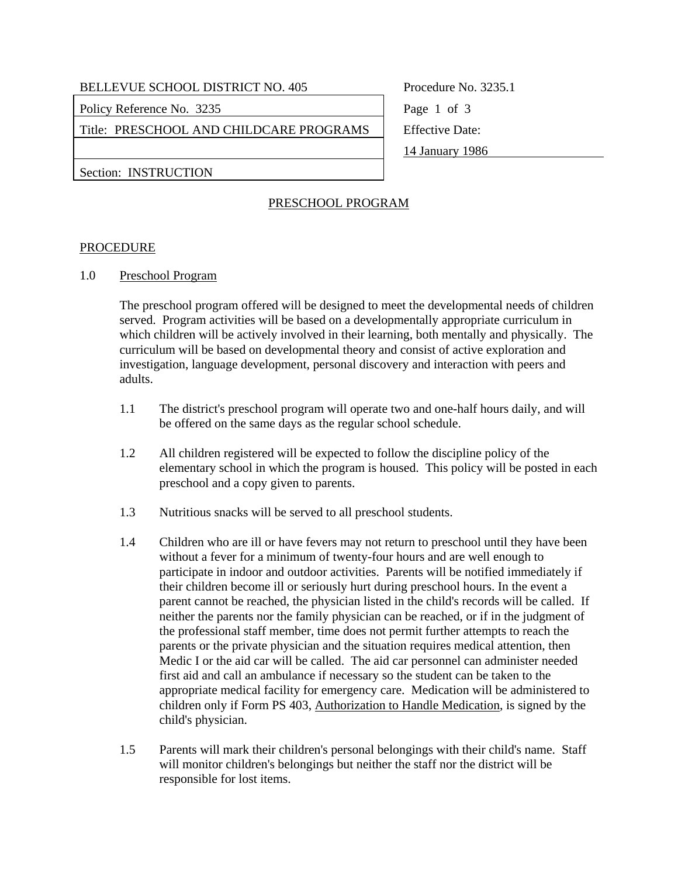Policy Reference No. 3235 Page 1 of 3

Title: PRESCHOOL AND CHILDCARE PROGRAMS | Effective Date:

14 January 1986

Section: INSTRUCTION

# PRESCHOOL PROGRAM

### PROCEDURE

1.0 Preschool Program

 The preschool program offered will be designed to meet the developmental needs of children served. Program activities will be based on a developmentally appropriate curriculum in which children will be actively involved in their learning, both mentally and physically. The curriculum will be based on developmental theory and consist of active exploration and investigation, language development, personal discovery and interaction with peers and adults.

- 1.1 The district's preschool program will operate two and one-half hours daily, and will be offered on the same days as the regular school schedule.
- 1.2 All children registered will be expected to follow the discipline policy of the elementary school in which the program is housed. This policy will be posted in each preschool and a copy given to parents.
- 1.3 Nutritious snacks will be served to all preschool students.
- 1.4 Children who are ill or have fevers may not return to preschool until they have been without a fever for a minimum of twenty-four hours and are well enough to participate in indoor and outdoor activities. Parents will be notified immediately if their children become ill or seriously hurt during preschool hours. In the event a parent cannot be reached, the physician listed in the child's records will be called. If neither the parents nor the family physician can be reached, or if in the judgment of the professional staff member, time does not permit further attempts to reach the parents or the private physician and the situation requires medical attention, then Medic I or the aid car will be called. The aid car personnel can administer needed first aid and call an ambulance if necessary so the student can be taken to the appropriate medical facility for emergency care. Medication will be administered to children only if Form PS 403, Authorization to Handle Medication, is signed by the child's physician.
- 1.5 Parents will mark their children's personal belongings with their child's name. Staff will monitor children's belongings but neither the staff nor the district will be responsible for lost items.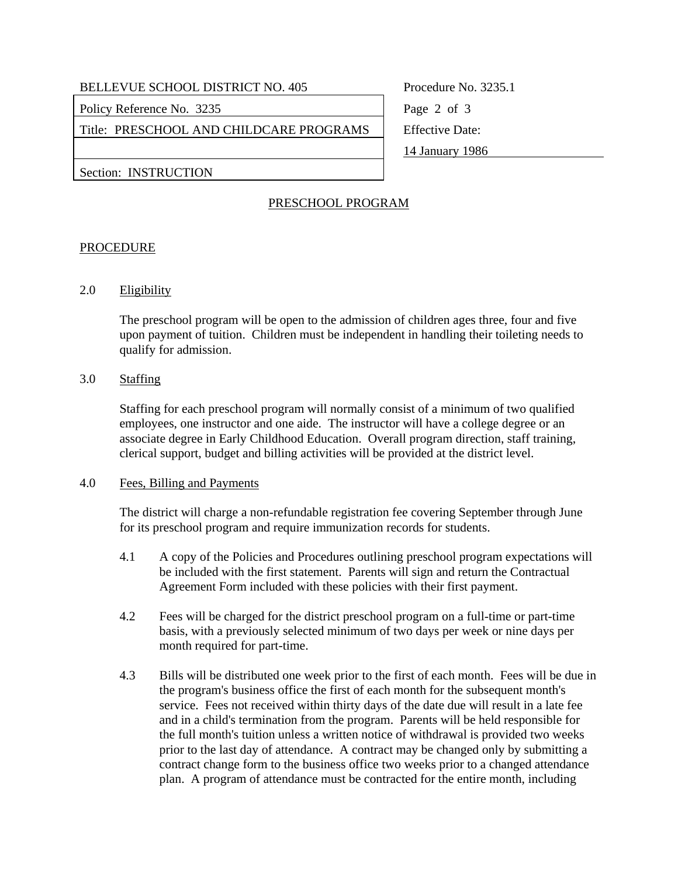Policy Reference No. 3235 Page 2 of 3

Title: PRESCHOOL AND CHILDCARE PROGRAMS | Effective Date:

14 January 1986

Section: INSTRUCTION

# PRESCHOOL PROGRAM

### PROCEDURE

2.0 Eligibility

 The preschool program will be open to the admission of children ages three, four and five upon payment of tuition. Children must be independent in handling their toileting needs to qualify for admission.

### 3.0 Staffing

 Staffing for each preschool program will normally consist of a minimum of two qualified employees, one instructor and one aide. The instructor will have a college degree or an associate degree in Early Childhood Education. Overall program direction, staff training, clerical support, budget and billing activities will be provided at the district level.

#### 4.0 Fees, Billing and Payments

 The district will charge a non-refundable registration fee covering September through June for its preschool program and require immunization records for students.

- 4.1 A copy of the Policies and Procedures outlining preschool program expectations will be included with the first statement. Parents will sign and return the Contractual Agreement Form included with these policies with their first payment.
- 4.2 Fees will be charged for the district preschool program on a full-time or part-time basis, with a previously selected minimum of two days per week or nine days per month required for part-time.
- 4.3 Bills will be distributed one week prior to the first of each month. Fees will be due in the program's business office the first of each month for the subsequent month's service. Fees not received within thirty days of the date due will result in a late fee and in a child's termination from the program. Parents will be held responsible for the full month's tuition unless a written notice of withdrawal is provided two weeks prior to the last day of attendance. A contract may be changed only by submitting a contract change form to the business office two weeks prior to a changed attendance plan. A program of attendance must be contracted for the entire month, including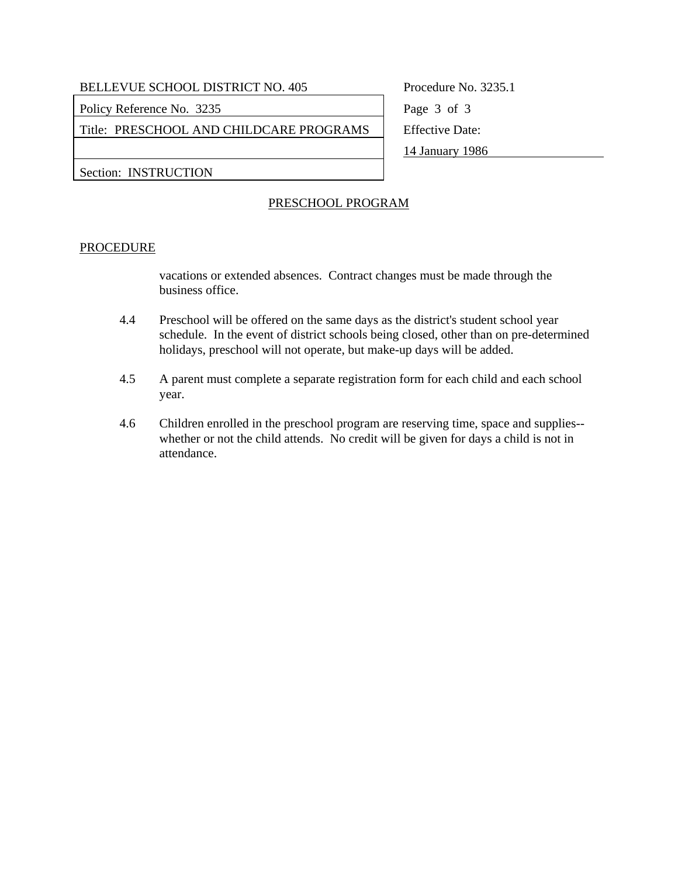Policy Reference No. 3235 Page 3 of 3

Title: PRESCHOOL AND CHILDCARE PROGRAMS Feffective Date:

14 January 1986

Section: INSTRUCTION

# PRESCHOOL PROGRAM

### PROCEDURE

vacations or extended absences. Contract changes must be made through the business office.

- 4.4 Preschool will be offered on the same days as the district's student school year schedule. In the event of district schools being closed, other than on pre-determined holidays, preschool will not operate, but make-up days will be added.
- 4.5 A parent must complete a separate registration form for each child and each school year.
- 4.6 Children enrolled in the preschool program are reserving time, space and supplies- whether or not the child attends. No credit will be given for days a child is not in attendance.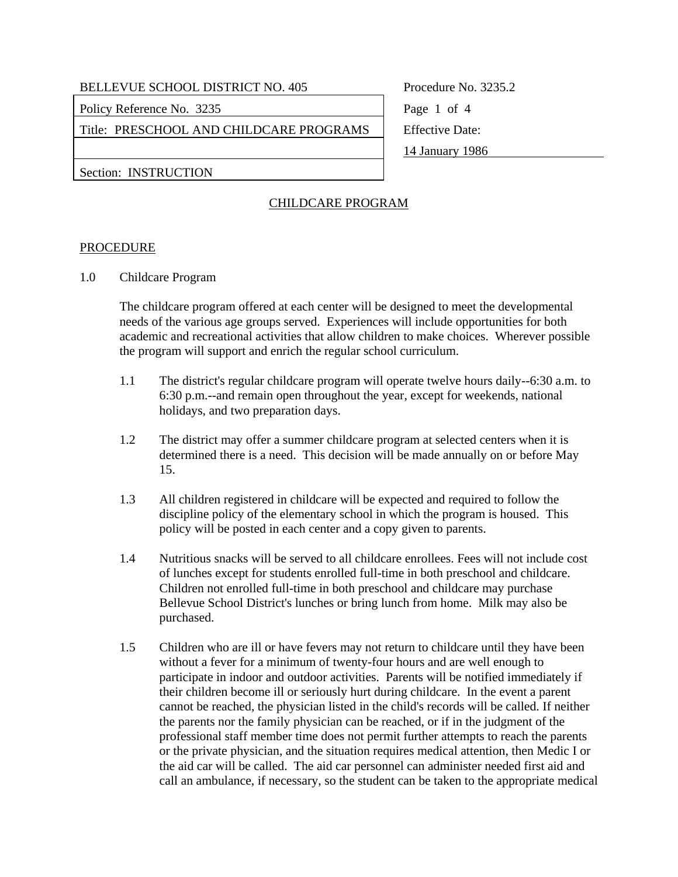Policy Reference No. 3235 Page 1 of 4

Title: PRESCHOOL AND CHILDCARE PROGRAMS | Effective Date:

14 January 1986

Section: INSTRUCTION

# CHILDCARE PROGRAM

### PROCEDURE

1.0 Childcare Program

 The childcare program offered at each center will be designed to meet the developmental needs of the various age groups served. Experiences will include opportunities for both academic and recreational activities that allow children to make choices. Wherever possible the program will support and enrich the regular school curriculum.

- 1.1 The district's regular childcare program will operate twelve hours daily--6:30 a.m. to 6:30 p.m.--and remain open throughout the year, except for weekends, national holidays, and two preparation days.
- 1.2 The district may offer a summer childcare program at selected centers when it is determined there is a need. This decision will be made annually on or before May 15.
- 1.3 All children registered in childcare will be expected and required to follow the discipline policy of the elementary school in which the program is housed. This policy will be posted in each center and a copy given to parents.
- 1.4 Nutritious snacks will be served to all childcare enrollees. Fees will not include cost of lunches except for students enrolled full-time in both preschool and childcare. Children not enrolled full-time in both preschool and childcare may purchase Bellevue School District's lunches or bring lunch from home. Milk may also be purchased.
- 1.5 Children who are ill or have fevers may not return to childcare until they have been without a fever for a minimum of twenty-four hours and are well enough to participate in indoor and outdoor activities. Parents will be notified immediately if their children become ill or seriously hurt during childcare. In the event a parent cannot be reached, the physician listed in the child's records will be called. If neither the parents nor the family physician can be reached, or if in the judgment of the professional staff member time does not permit further attempts to reach the parents or the private physician, and the situation requires medical attention, then Medic I or the aid car will be called. The aid car personnel can administer needed first aid and call an ambulance, if necessary, so the student can be taken to the appropriate medical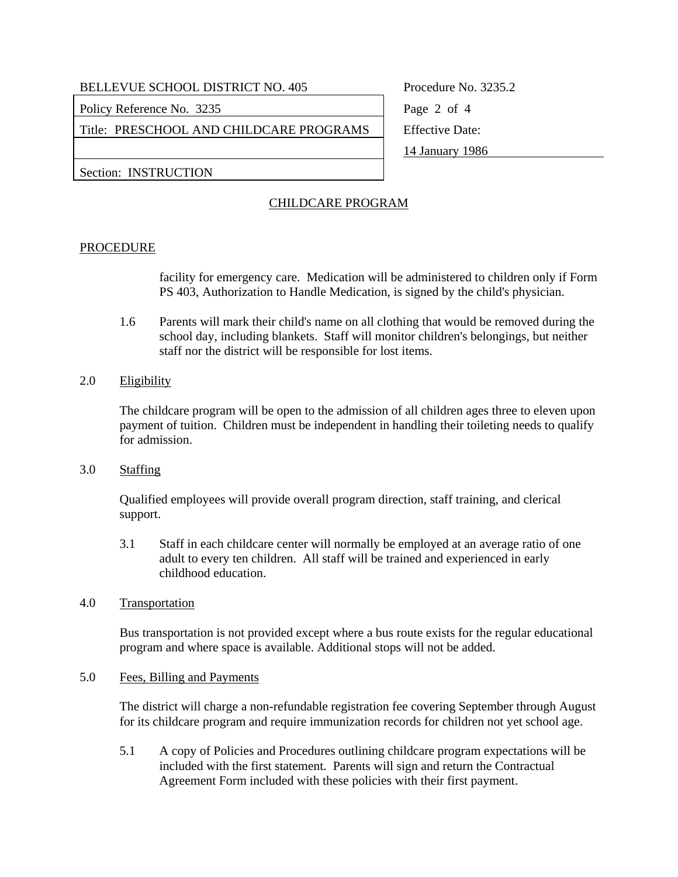Policy Reference No. 3235 Page 2 of 4

Title: PRESCHOOL AND CHILDCARE PROGRAMS | Effective Date:

14 January 1986

Section: INSTRUCTION

# CHILDCARE PROGRAM

### PROCEDURE

facility for emergency care. Medication will be administered to children only if Form PS 403, Authorization to Handle Medication, is signed by the child's physician.

- 1.6 Parents will mark their child's name on all clothing that would be removed during the school day, including blankets. Staff will monitor children's belongings, but neither staff nor the district will be responsible for lost items.
- 2.0 Eligibility

 The childcare program will be open to the admission of all children ages three to eleven upon payment of tuition. Children must be independent in handling their toileting needs to qualify for admission.

3.0 Staffing

 Qualified employees will provide overall program direction, staff training, and clerical support.

- 3.1 Staff in each childcare center will normally be employed at an average ratio of one adult to every ten children. All staff will be trained and experienced in early childhood education.
- 4.0 Transportation

 Bus transportation is not provided except where a bus route exists for the regular educational program and where space is available. Additional stops will not be added.

5.0 Fees, Billing and Payments

 The district will charge a non-refundable registration fee covering September through August for its childcare program and require immunization records for children not yet school age.

 5.1 A copy of Policies and Procedures outlining childcare program expectations will be included with the first statement. Parents will sign and return the Contractual Agreement Form included with these policies with their first payment.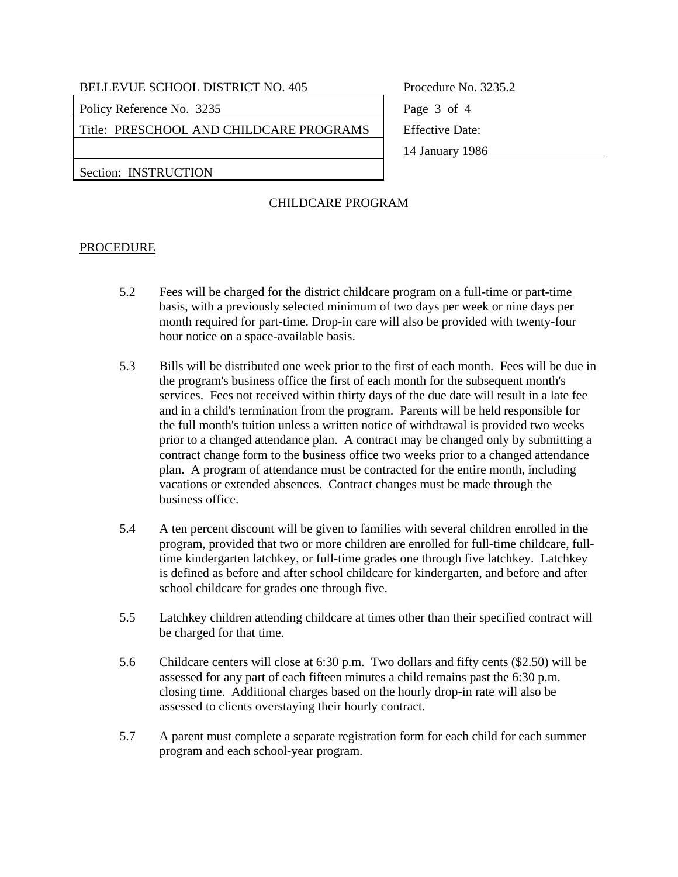Policy Reference No. 3235 Page 3 of 4

Title: PRESCHOOL AND CHILDCARE PROGRAMS | Effective Date:

14 January 1986

Section: INSTRUCTION

# CHILDCARE PROGRAM

### PROCEDURE

- 5.2 Fees will be charged for the district childcare program on a full-time or part-time basis, with a previously selected minimum of two days per week or nine days per month required for part-time. Drop-in care will also be provided with twenty-four hour notice on a space-available basis.
- 5.3 Bills will be distributed one week prior to the first of each month. Fees will be due in the program's business office the first of each month for the subsequent month's services. Fees not received within thirty days of the due date will result in a late fee and in a child's termination from the program. Parents will be held responsible for the full month's tuition unless a written notice of withdrawal is provided two weeks prior to a changed attendance plan. A contract may be changed only by submitting a contract change form to the business office two weeks prior to a changed attendance plan. A program of attendance must be contracted for the entire month, including vacations or extended absences. Contract changes must be made through the business office.
- 5.4 A ten percent discount will be given to families with several children enrolled in the program, provided that two or more children are enrolled for full-time childcare, fulltime kindergarten latchkey, or full-time grades one through five latchkey. Latchkey is defined as before and after school childcare for kindergarten, and before and after school childcare for grades one through five.
- 5.5 Latchkey children attending childcare at times other than their specified contract will be charged for that time.
- 5.6 Childcare centers will close at 6:30 p.m. Two dollars and fifty cents (\$2.50) will be assessed for any part of each fifteen minutes a child remains past the 6:30 p.m. closing time. Additional charges based on the hourly drop-in rate will also be assessed to clients overstaying their hourly contract.
- 5.7 A parent must complete a separate registration form for each child for each summer program and each school-year program.